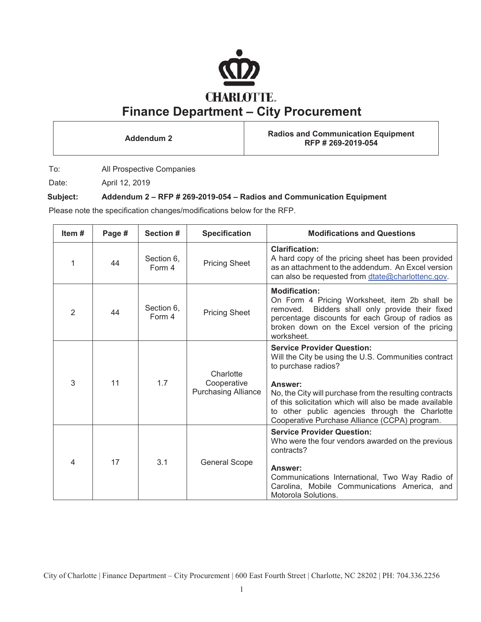

**Addendum 2 Radios and Communication Equipment RFP # 269-2019-054**

To: All Prospective Companies

Date: April 12, 2019

# **Subject: Addendum 2 – RFP # 269-2019-054 – Radios and Communication Equipment**

Please note the specification changes/modifications below for the RFP.

| Item $#$ | Page # | Section #            | <b>Specification</b>                                   | <b>Modifications and Questions</b>                                                                                                                                                                                                                                                                                                                  |
|----------|--------|----------------------|--------------------------------------------------------|-----------------------------------------------------------------------------------------------------------------------------------------------------------------------------------------------------------------------------------------------------------------------------------------------------------------------------------------------------|
| 1        | 44     | Section 6,<br>Form 4 | <b>Pricing Sheet</b>                                   | <b>Clarification:</b><br>A hard copy of the pricing sheet has been provided<br>as an attachment to the addendum. An Excel version<br>can also be requested from dtate@charlottenc.gov.                                                                                                                                                              |
| 2        | 44     | Section 6,<br>Form 4 | <b>Pricing Sheet</b>                                   | <b>Modification:</b><br>On Form 4 Pricing Worksheet, item 2b shall be<br>Bidders shall only provide their fixed<br>removed.<br>percentage discounts for each Group of radios as<br>broken down on the Excel version of the pricing<br>worksheet.                                                                                                    |
| 3        | 11     | 1.7                  | Charlotte<br>Cooperative<br><b>Purchasing Alliance</b> | <b>Service Provider Question:</b><br>Will the City be using the U.S. Communities contract<br>to purchase radios?<br>Answer:<br>No, the City will purchase from the resulting contracts<br>of this solicitation which will also be made available<br>to other public agencies through the Charlotte<br>Cooperative Purchase Alliance (CCPA) program. |
| 4        | 17     | 3.1                  | <b>General Scope</b>                                   | <b>Service Provider Question:</b><br>Who were the four vendors awarded on the previous<br>contracts?<br>Answer:<br>Communications International, Two Way Radio of<br>Carolina, Mobile Communications America, and<br>Motorola Solutions.                                                                                                            |

City of Charlotte | Finance Department – City Procurement | 600 East Fourth Street | Charlotte, NC 28202 | PH: 704.336.2256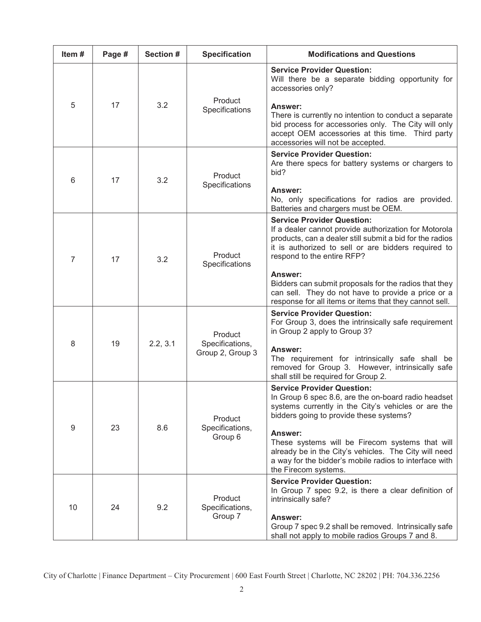| Item# | Page # | Section # | <b>Specification</b>                           | <b>Modifications and Questions</b>                                                                                                                                                                                                                                                                                                                                                                                                     |
|-------|--------|-----------|------------------------------------------------|----------------------------------------------------------------------------------------------------------------------------------------------------------------------------------------------------------------------------------------------------------------------------------------------------------------------------------------------------------------------------------------------------------------------------------------|
| 5     | 17     | 3.2       | Product<br>Specifications                      | <b>Service Provider Question:</b><br>Will there be a separate bidding opportunity for<br>accessories only?<br>Answer:<br>There is currently no intention to conduct a separate<br>bid process for accessories only. The City will only<br>accept OEM accessories at this time. Third party<br>accessories will not be accepted.                                                                                                        |
| 6     | 17     | 3.2       | Product<br>Specifications                      | <b>Service Provider Question:</b><br>Are there specs for battery systems or chargers to<br>bid?<br>Answer:<br>No, only specifications for radios are provided.<br>Batteries and chargers must be OEM.                                                                                                                                                                                                                                  |
| 7     | 17     | 3.2       | Product<br>Specifications                      | <b>Service Provider Question:</b><br>If a dealer cannot provide authorization for Motorola<br>products, can a dealer still submit a bid for the radios<br>it is authorized to sell or are bidders required to<br>respond to the entire RFP?<br><b>Answer:</b><br>Bidders can submit proposals for the radios that they<br>can sell. They do not have to provide a price or a<br>response for all items or items that they cannot sell. |
| 8     | 19     | 2.2, 3.1  | Product<br>Specifications,<br>Group 2, Group 3 | <b>Service Provider Question:</b><br>For Group 3, does the intrinsically safe requirement<br>in Group 2 apply to Group 3?<br><b>Answer:</b><br>The requirement for intrinsically safe shall be<br>removed for Group 3. However, intrinsically safe<br>shall still be required for Group 2.                                                                                                                                             |
| 9     | 23     | 8.6       | Product<br>Specifications,<br>Group 6          | <b>Service Provider Question:</b><br>In Group 6 spec 8.6, are the on-board radio headset<br>systems currently in the City's vehicles or are the<br>bidders going to provide these systems?<br>Answer:<br>These systems will be Firecom systems that will<br>already be in the City's vehicles. The City will need<br>a way for the bidder's mobile radios to interface with<br>the Firecom systems.                                    |
| 10    | 24     | 9.2       | Product<br>Specifications,<br>Group 7          | <b>Service Provider Question:</b><br>In Group 7 spec 9.2, is there a clear definition of<br>intrinsically safe?<br>Answer:<br>Group 7 spec 9.2 shall be removed. Intrinsically safe<br>shall not apply to mobile radios Groups 7 and 8.                                                                                                                                                                                                |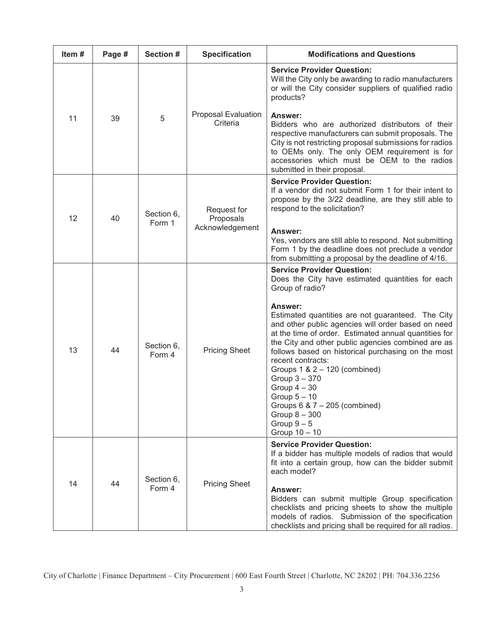| Item# | Page # | Section #            | <b>Specification</b>                        | <b>Modifications and Questions</b>                                                                                                                                                                                                                                                                                                                                                                                                                                                                                                                                                                    |
|-------|--------|----------------------|---------------------------------------------|-------------------------------------------------------------------------------------------------------------------------------------------------------------------------------------------------------------------------------------------------------------------------------------------------------------------------------------------------------------------------------------------------------------------------------------------------------------------------------------------------------------------------------------------------------------------------------------------------------|
| 11    | 39     | 5                    | <b>Proposal Evaluation</b><br>Criteria      | <b>Service Provider Question:</b><br>Will the City only be awarding to radio manufacturers<br>or will the City consider suppliers of qualified radio<br>products?<br>Answer:<br>Bidders who are authorized distributors of their<br>respective manufacturers can submit proposals. The<br>City is not restricting proposal submissions for radios<br>to OEMs only. The only OEM requirement is for<br>accessories which must be OEM to the radios<br>submitted in their proposal.                                                                                                                     |
| 12    | 40     | Section 6,<br>Form 1 | Request for<br>Proposals<br>Acknowledgement | <b>Service Provider Question:</b><br>If a vendor did not submit Form 1 for their intent to<br>propose by the 3/22 deadline, are they still able to<br>respond to the solicitation?<br>Answer:<br>Yes, vendors are still able to respond. Not submitting<br>Form 1 by the deadline does not preclude a vendor<br>from submitting a proposal by the deadline of 4/16.                                                                                                                                                                                                                                   |
| 13    | 44     | Section 6,<br>Form 4 | <b>Pricing Sheet</b>                        | <b>Service Provider Question:</b><br>Does the City have estimated quantities for each<br>Group of radio?<br>Answer:<br>Estimated quantities are not guaranteed. The City<br>and other public agencies will order based on need<br>at the time of order. Estimated annual quantities for<br>the City and other public agencies combined are as<br>follows based on historical purchasing on the most<br>recent contracts:<br>Groups $1 & 2 - 120$ (combined)<br>Group 3 - 370<br>Group $4-30$<br>Group $5 - 10$<br>Groups $6 \& 7 - 205$ (combined)<br>Group $8 - 300$<br>Group $9-5$<br>Group 10 - 10 |
| 14    | 44     | Section 6,<br>Form 4 | <b>Pricing Sheet</b>                        | <b>Service Provider Question:</b><br>If a bidder has multiple models of radios that would<br>fit into a certain group, how can the bidder submit<br>each model?<br>Answer:<br>Bidders can submit multiple Group specification<br>checklists and pricing sheets to show the multiple<br>models of radios. Submission of the specification<br>checklists and pricing shall be required for all radios.                                                                                                                                                                                                  |

City of Charlotte | Finance Department – City Procurement | 600 East Fourth Street | Charlotte, NC 28202 | PH: 704.336.2256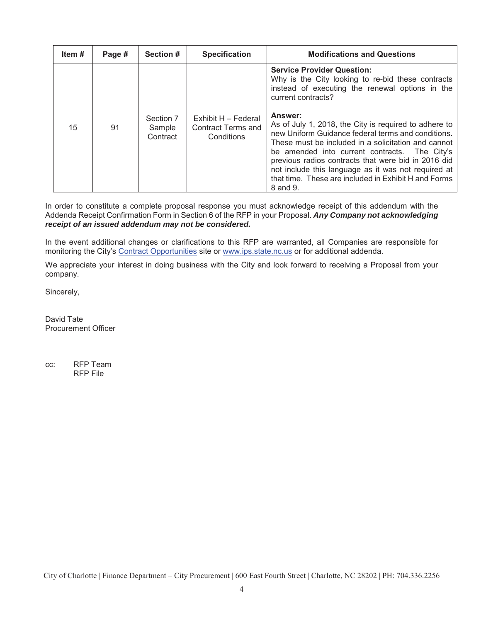| Item# | Page # | Section #                       | <b>Specification</b>                                    | <b>Modifications and Questions</b>                                                                                                                                                                                                                                                                                                                                                                               |
|-------|--------|---------------------------------|---------------------------------------------------------|------------------------------------------------------------------------------------------------------------------------------------------------------------------------------------------------------------------------------------------------------------------------------------------------------------------------------------------------------------------------------------------------------------------|
|       |        |                                 |                                                         | <b>Service Provider Question:</b><br>Why is the City looking to re-bid these contracts<br>instead of executing the renewal options in the<br>current contracts?                                                                                                                                                                                                                                                  |
| 15    | 91     | Section 7<br>Sample<br>Contract | Exhibit H - Federal<br>Contract Terms and<br>Conditions | Answer:<br>As of July 1, 2018, the City is required to adhere to<br>new Uniform Guidance federal terms and conditions.<br>These must be included in a solicitation and cannot<br>be amended into current contracts. The City's<br>previous radios contracts that were bid in 2016 did<br>not include this language as it was not required at<br>that time. These are included in Exhibit H and Forms<br>8 and 9. |

In order to constitute a complete proposal response you must acknowledge receipt of this addendum with the Addenda Receipt Confirmation Form in Section 6 of the RFP in your Proposal. *Any Company not acknowledging receipt of an issued addendum may not be considered.*

In the event additional changes or clarifications to this RFP are warranted, all Companies are responsible for monitoring the City's Contract Opportunities site or www.ips.state.nc.us or for additional addenda.

We appreciate your interest in doing business with the City and look forward to receiving a Proposal from your company.

Sincerely,

David Tate Procurement Officer

cc: RFP Team RFP File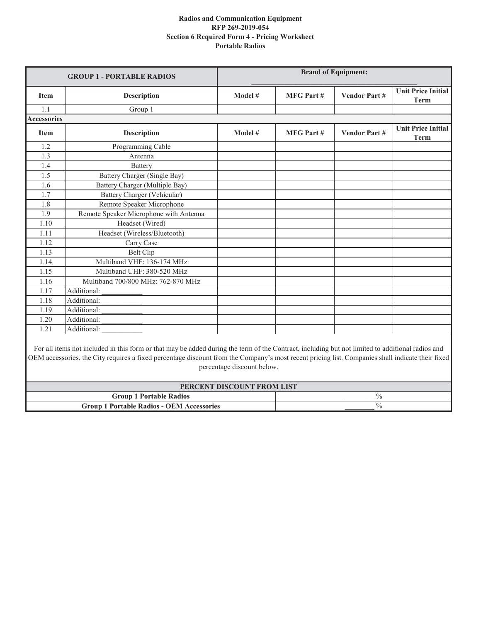| <b>GROUP 1 - PORTABLE RADIOS</b> |                                        |         |                  | <b>Brand of Equipment:</b> |                                          |
|----------------------------------|----------------------------------------|---------|------------------|----------------------------|------------------------------------------|
| <b>Item</b>                      | <b>Description</b>                     | Model # | <b>MFG Part#</b> | <b>Vendor Part#</b>        | <b>Unit Price Initial</b><br><b>Term</b> |
| 1.1                              | Group 1                                |         |                  |                            |                                          |
| <b>Accessories</b>               |                                        |         |                  |                            |                                          |
| <b>Item</b>                      | <b>Description</b>                     | Model # | <b>MFG Part#</b> | <b>Vendor Part#</b>        | <b>Unit Price Initial</b><br><b>Term</b> |
| 1.2                              | Programming Cable                      |         |                  |                            |                                          |
| 1.3                              | Antenna                                |         |                  |                            |                                          |
| 1.4                              | Battery                                |         |                  |                            |                                          |
| 1.5                              | Battery Charger (Single Bay)           |         |                  |                            |                                          |
| 1.6                              | Battery Charger (Multiple Bay)         |         |                  |                            |                                          |
| 1.7                              | Battery Charger (Vehicular)            |         |                  |                            |                                          |
| 1.8                              | Remote Speaker Microphone              |         |                  |                            |                                          |
| 1.9                              | Remote Speaker Microphone with Antenna |         |                  |                            |                                          |
| 1.10                             | Headset (Wired)                        |         |                  |                            |                                          |
| 1.11                             | Headset (Wireless/Bluetooth)           |         |                  |                            |                                          |
| 1.12                             | Carry Case                             |         |                  |                            |                                          |
| 1.13                             | <b>Belt Clip</b>                       |         |                  |                            |                                          |
| 1.14                             | Multiband VHF: 136-174 MHz             |         |                  |                            |                                          |
| 1.15                             | Multiband UHF: 380-520 MHz             |         |                  |                            |                                          |
| 1.16                             | Multiband 700/800 MHz: 762-870 MHz     |         |                  |                            |                                          |
| 1.17                             | Additional:                            |         |                  |                            |                                          |
| 1.18                             | Additional:                            |         |                  |                            |                                          |
| 1.19                             | Additional:                            |         |                  |                            |                                          |
| 1.20                             | Additional:                            |         |                  |                            |                                          |
| 1.21                             | Additional:                            |         |                  |                            |                                          |

For all items not included in this form or that may be added during the term of the Contract, including but not limited to additional radios and OEM accessories, the City requires a fixed percentage discount from the Company's most recent pricing list. Companies shall indicate their fixed percentage discount below.

| PERCENT DISCOUNT FROM LIST                       |  |  |  |
|--------------------------------------------------|--|--|--|
| <b>Group 1 Portable Radios</b>                   |  |  |  |
| <b>Group 1 Portable Radios - OEM Accessories</b> |  |  |  |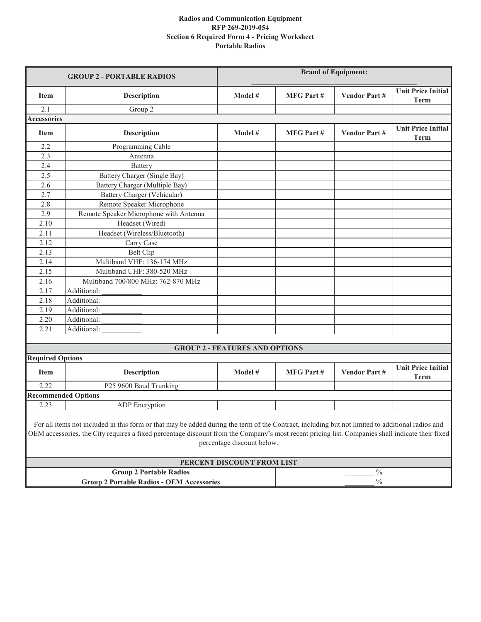|                         | <b>GROUP 2 - PORTABLE RADIOS</b>                                                                                                                                                                                                                                                                     | <b>Brand of Equipment:</b>            |                  |                     |                                          |
|-------------------------|------------------------------------------------------------------------------------------------------------------------------------------------------------------------------------------------------------------------------------------------------------------------------------------------------|---------------------------------------|------------------|---------------------|------------------------------------------|
| <b>Item</b>             | <b>Description</b>                                                                                                                                                                                                                                                                                   | Model #                               | <b>MFG Part#</b> | <b>Vendor Part#</b> | <b>Unit Price Initial</b><br><b>Term</b> |
| 2.1                     | Group 2                                                                                                                                                                                                                                                                                              |                                       |                  |                     |                                          |
| <b>Accessories</b>      |                                                                                                                                                                                                                                                                                                      |                                       |                  |                     |                                          |
| <b>Item</b>             | <b>Description</b>                                                                                                                                                                                                                                                                                   | Model #                               | <b>MFG Part#</b> | <b>Vendor Part#</b> | <b>Unit Price Initial</b><br><b>Term</b> |
| 2.2                     | Programming Cable                                                                                                                                                                                                                                                                                    |                                       |                  |                     |                                          |
| 2.3                     | Antenna                                                                                                                                                                                                                                                                                              |                                       |                  |                     |                                          |
| 2.4                     | Battery                                                                                                                                                                                                                                                                                              |                                       |                  |                     |                                          |
| 2.5                     | Battery Charger (Single Bay)                                                                                                                                                                                                                                                                         |                                       |                  |                     |                                          |
| 2.6                     | Battery Charger (Multiple Bay)                                                                                                                                                                                                                                                                       |                                       |                  |                     |                                          |
| 2.7                     | Battery Charger (Vehicular)                                                                                                                                                                                                                                                                          |                                       |                  |                     |                                          |
| 2.8                     | Remote Speaker Microphone                                                                                                                                                                                                                                                                            |                                       |                  |                     |                                          |
| 2.9                     | Remote Speaker Microphone with Antenna                                                                                                                                                                                                                                                               |                                       |                  |                     |                                          |
| 2.10                    | Headset (Wired)                                                                                                                                                                                                                                                                                      |                                       |                  |                     |                                          |
| 2.11                    | Headset (Wireless/Bluetooth)                                                                                                                                                                                                                                                                         |                                       |                  |                     |                                          |
| 2.12                    | Carry Case                                                                                                                                                                                                                                                                                           |                                       |                  |                     |                                          |
| 2.13                    | <b>Belt Clip</b>                                                                                                                                                                                                                                                                                     |                                       |                  |                     |                                          |
| 2.14                    | Multiband VHF: 136-174 MHz                                                                                                                                                                                                                                                                           |                                       |                  |                     |                                          |
| 2.15                    | Multiband UHF: 380-520 MHz                                                                                                                                                                                                                                                                           |                                       |                  |                     |                                          |
| 2.16                    | Multiband 700/800 MHz: 762-870 MHz                                                                                                                                                                                                                                                                   |                                       |                  |                     |                                          |
| 2.17                    | Additional:                                                                                                                                                                                                                                                                                          |                                       |                  |                     |                                          |
| 2.18                    | Additional:                                                                                                                                                                                                                                                                                          |                                       |                  |                     |                                          |
| 2.19                    | Additional:                                                                                                                                                                                                                                                                                          |                                       |                  |                     |                                          |
| 2.20                    | Additional:                                                                                                                                                                                                                                                                                          |                                       |                  |                     |                                          |
| 2.21                    | Additional:                                                                                                                                                                                                                                                                                          |                                       |                  |                     |                                          |
|                         |                                                                                                                                                                                                                                                                                                      |                                       |                  |                     |                                          |
|                         |                                                                                                                                                                                                                                                                                                      | <b>GROUP 2 - FEATURES AND OPTIONS</b> |                  |                     |                                          |
| <b>Required Options</b> |                                                                                                                                                                                                                                                                                                      |                                       |                  |                     |                                          |
| <b>Item</b>             | <b>Description</b>                                                                                                                                                                                                                                                                                   | Model #                               | <b>MFG Part#</b> | <b>Vendor Part#</b> | <b>Unit Price Initial</b><br><b>Term</b> |
| 2.22                    | P25 9600 Baud Trunking                                                                                                                                                                                                                                                                               |                                       |                  |                     |                                          |
|                         | <b>Recommended Options</b>                                                                                                                                                                                                                                                                           |                                       |                  |                     |                                          |
| 2.23                    | <b>ADP</b> Encryption                                                                                                                                                                                                                                                                                |                                       |                  |                     |                                          |
|                         | For all items not included in this form or that may be added during the term of the Contract, including but not limited to additional radios and<br>OEM accessories, the City requires a fixed percentage discount from the Company's most recent pricing list. Companies shall indicate their fixed | percentage discount below.            |                  |                     |                                          |
|                         |                                                                                                                                                                                                                                                                                                      | PERCENT DISCOUNT FROM LIST            |                  |                     |                                          |
|                         | <b>Group 2 Portable Radios</b>                                                                                                                                                                                                                                                                       |                                       |                  | $\%$                |                                          |
|                         | <b>Group 2 Portable Radios - OEM Accessories</b>                                                                                                                                                                                                                                                     |                                       |                  | $\%$                |                                          |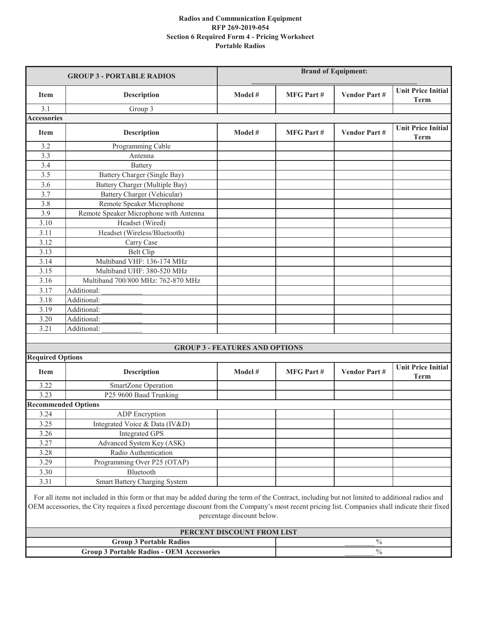|                         | <b>GROUP 3 - PORTABLE RADIOS</b>                                                                                                                                                                                                                                                                     | <b>Brand of Equipment:</b>            |                                                                                      |                     |                                          |
|-------------------------|------------------------------------------------------------------------------------------------------------------------------------------------------------------------------------------------------------------------------------------------------------------------------------------------------|---------------------------------------|--------------------------------------------------------------------------------------|---------------------|------------------------------------------|
| <b>Item</b>             | <b>Description</b>                                                                                                                                                                                                                                                                                   | Model #                               | <b>Unit Price Initial</b><br><b>MFG</b> Part #<br><b>Vendor Part#</b><br><b>Term</b> |                     |                                          |
| 3.1                     | Group 3                                                                                                                                                                                                                                                                                              |                                       |                                                                                      |                     |                                          |
| <b>Accessories</b>      |                                                                                                                                                                                                                                                                                                      |                                       |                                                                                      |                     |                                          |
| <b>Item</b>             | <b>Description</b>                                                                                                                                                                                                                                                                                   | Model #                               | <b>MFG Part#</b>                                                                     | <b>Vendor Part#</b> | <b>Unit Price Initial</b><br><b>Term</b> |
| 3.2                     | Programming Cable                                                                                                                                                                                                                                                                                    |                                       |                                                                                      |                     |                                          |
| 3.3                     | Antenna                                                                                                                                                                                                                                                                                              |                                       |                                                                                      |                     |                                          |
| 3.4                     | Battery                                                                                                                                                                                                                                                                                              |                                       |                                                                                      |                     |                                          |
| 3.5                     | Battery Charger (Single Bay)                                                                                                                                                                                                                                                                         |                                       |                                                                                      |                     |                                          |
| $\overline{3.6}$        | Battery Charger (Multiple Bay)                                                                                                                                                                                                                                                                       |                                       |                                                                                      |                     |                                          |
| 3.7                     | Battery Charger (Vehicular)                                                                                                                                                                                                                                                                          |                                       |                                                                                      |                     |                                          |
| 3.8                     | Remote Speaker Microphone                                                                                                                                                                                                                                                                            |                                       |                                                                                      |                     |                                          |
| 3.9                     | Remote Speaker Microphone with Antenna                                                                                                                                                                                                                                                               |                                       |                                                                                      |                     |                                          |
| 3.10                    | Headset (Wired)                                                                                                                                                                                                                                                                                      |                                       |                                                                                      |                     |                                          |
| 3.11                    | Headset (Wireless/Bluetooth)                                                                                                                                                                                                                                                                         |                                       |                                                                                      |                     |                                          |
| 3.12                    | Carry Case                                                                                                                                                                                                                                                                                           |                                       |                                                                                      |                     |                                          |
| 3.13                    | <b>Belt Clip</b>                                                                                                                                                                                                                                                                                     |                                       |                                                                                      |                     |                                          |
| 3.14                    | Multiband VHF: 136-174 MHz                                                                                                                                                                                                                                                                           |                                       |                                                                                      |                     |                                          |
| 3.15                    | Multiband UHF: 380-520 MHz                                                                                                                                                                                                                                                                           |                                       |                                                                                      |                     |                                          |
| 3.16                    | Multiband 700/800 MHz: 762-870 MHz                                                                                                                                                                                                                                                                   |                                       |                                                                                      |                     |                                          |
| 3.17                    | Additional:                                                                                                                                                                                                                                                                                          |                                       |                                                                                      |                     |                                          |
| 3.18                    | Additional:                                                                                                                                                                                                                                                                                          |                                       |                                                                                      |                     |                                          |
| 3.19                    | Additional:                                                                                                                                                                                                                                                                                          |                                       |                                                                                      |                     |                                          |
| 3.20                    | Additional:                                                                                                                                                                                                                                                                                          |                                       |                                                                                      |                     |                                          |
| 3.21                    | Additional:                                                                                                                                                                                                                                                                                          |                                       |                                                                                      |                     |                                          |
|                         |                                                                                                                                                                                                                                                                                                      |                                       |                                                                                      |                     |                                          |
|                         |                                                                                                                                                                                                                                                                                                      | <b>GROUP 3 - FEATURES AND OPTIONS</b> |                                                                                      |                     |                                          |
| <b>Required Options</b> |                                                                                                                                                                                                                                                                                                      |                                       |                                                                                      |                     |                                          |
| <b>Item</b>             | <b>Description</b>                                                                                                                                                                                                                                                                                   | Model #                               | <b>MFG Part#</b>                                                                     | <b>Vendor Part#</b> | <b>Unit Price Initial</b><br><b>Term</b> |
| 3.22                    | SmartZone Operation                                                                                                                                                                                                                                                                                  |                                       |                                                                                      |                     |                                          |
| 3.23                    | P25 9600 Baud Trunking                                                                                                                                                                                                                                                                               |                                       |                                                                                      |                     |                                          |
|                         | <b>Recommended Options</b>                                                                                                                                                                                                                                                                           |                                       |                                                                                      |                     |                                          |
| 3.24                    | <b>ADP</b> Encryption                                                                                                                                                                                                                                                                                |                                       |                                                                                      |                     |                                          |
| 3.25                    | Integrated Voice & Data (IV&D)                                                                                                                                                                                                                                                                       |                                       |                                                                                      |                     |                                          |
| 3.26                    | <b>Integrated GPS</b>                                                                                                                                                                                                                                                                                |                                       |                                                                                      |                     |                                          |
| 3.27                    | Advanced System Key (ASK)                                                                                                                                                                                                                                                                            |                                       |                                                                                      |                     |                                          |
| 3.28                    | Radio Authentication                                                                                                                                                                                                                                                                                 |                                       |                                                                                      |                     |                                          |
| 3.29                    | Programming Over P25 (OTAP)                                                                                                                                                                                                                                                                          |                                       |                                                                                      |                     |                                          |
| 3.30                    | Bluetooth                                                                                                                                                                                                                                                                                            |                                       |                                                                                      |                     |                                          |
| 3.31                    | Smart Battery Charging System                                                                                                                                                                                                                                                                        |                                       |                                                                                      |                     |                                          |
|                         | For all items not included in this form or that may be added during the term of the Contract, including but not limited to additional radios and<br>OEM accessories, the City requires a fixed percentage discount from the Company's most recent pricing list. Companies shall indicate their fixed | percentage discount below.            |                                                                                      |                     |                                          |
|                         |                                                                                                                                                                                                                                                                                                      | PERCENT DISCOUNT FROM LIST            |                                                                                      |                     |                                          |
|                         | <b>Group 3 Portable Radios</b>                                                                                                                                                                                                                                                                       |                                       |                                                                                      | $\%$                |                                          |
|                         | <b>Group 3 Portable Radios - OEM Accessories</b>                                                                                                                                                                                                                                                     |                                       |                                                                                      | $\%$                |                                          |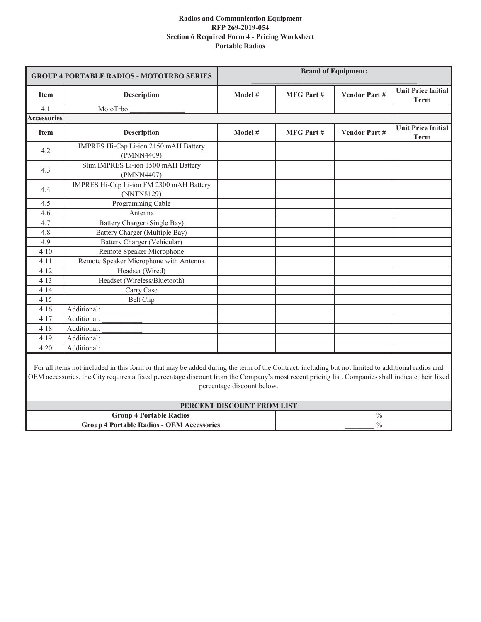| <b>GROUP 4 PORTABLE RADIOS - MOTOTRBO SERIES</b> |                                                        |         |                  | <b>Brand of Equipment:</b> |                                          |
|--------------------------------------------------|--------------------------------------------------------|---------|------------------|----------------------------|------------------------------------------|
| <b>Item</b>                                      | <b>Description</b>                                     | Model # | <b>MFG Part#</b> | <b>Vendor Part#</b>        | <b>Unit Price Initial</b><br><b>Term</b> |
| 4.1                                              | MotoTrbo                                               |         |                  |                            |                                          |
| <b>Accessories</b>                               |                                                        |         |                  |                            |                                          |
| <b>Item</b>                                      | <b>Description</b>                                     | Model # | <b>MFG Part#</b> | <b>Vendor Part#</b>        | <b>Unit Price Initial</b><br><b>Term</b> |
| 4.2                                              | IMPRES Hi-Cap Li-ion 2150 mAH Battery<br>(PMNN4409)    |         |                  |                            |                                          |
| 4.3                                              | Slim IMPRES Li-ion 1500 mAH Battery<br>(PMNN4407)      |         |                  |                            |                                          |
| 4.4                                              | IMPRES Hi-Cap Li-ion FM 2300 mAH Battery<br>(NNTN8129) |         |                  |                            |                                          |
| 4.5                                              | Programming Cable                                      |         |                  |                            |                                          |
| 4.6                                              | Antenna                                                |         |                  |                            |                                          |
| 4.7                                              | Battery Charger (Single Bay)                           |         |                  |                            |                                          |
| 4.8                                              | Battery Charger (Multiple Bay)                         |         |                  |                            |                                          |
| 4.9                                              | Battery Charger (Vehicular)                            |         |                  |                            |                                          |
| 4.10                                             | Remote Speaker Microphone                              |         |                  |                            |                                          |
| 4.11                                             | Remote Speaker Microphone with Antenna                 |         |                  |                            |                                          |
| 4.12                                             | Headset (Wired)                                        |         |                  |                            |                                          |
| 4.13                                             | Headset (Wireless/Bluetooth)                           |         |                  |                            |                                          |
| 4.14                                             | Carry Case                                             |         |                  |                            |                                          |
| 4.15                                             | <b>Belt Clip</b>                                       |         |                  |                            |                                          |
| 4.16                                             | Additional:                                            |         |                  |                            |                                          |
| 4.17                                             | Additional:                                            |         |                  |                            |                                          |
| 4.18                                             | Additional:                                            |         |                  |                            |                                          |
| 4.19                                             | Additional:                                            |         |                  |                            |                                          |
| 4.20                                             | Additional:                                            |         |                  |                            |                                          |
|                                                  |                                                        |         |                  |                            |                                          |

For all items not included in this form or that may be added during the term of the Contract, including but not limited to additional radios and OEM accessories, the City requires a fixed percentage discount from the Company's most recent pricing list. Companies shall indicate their fixed percentage discount below.

| PERCENT DISCOUNT FROM LIST                       |  |  |  |
|--------------------------------------------------|--|--|--|
| <b>Group 4 Portable Radios</b>                   |  |  |  |
| <b>Group 4 Portable Radios - OEM Accessories</b> |  |  |  |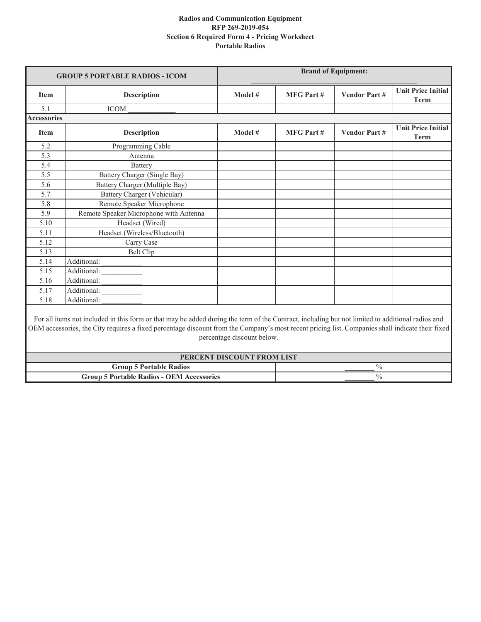|                    | <b>GROUP 5 PORTABLE RADIOS - ICOM</b>                                                                                                                                                                                                                                                                |                            |                  | <b>Brand of Equipment:</b> |                                          |
|--------------------|------------------------------------------------------------------------------------------------------------------------------------------------------------------------------------------------------------------------------------------------------------------------------------------------------|----------------------------|------------------|----------------------------|------------------------------------------|
| <b>Item</b>        | <b>Description</b>                                                                                                                                                                                                                                                                                   | Model #                    | <b>MFG Part#</b> | <b>Vendor Part#</b>        | <b>Unit Price Initial</b><br><b>Term</b> |
| 5.1                | <b>ICOM</b>                                                                                                                                                                                                                                                                                          |                            |                  |                            |                                          |
| <b>Accessories</b> |                                                                                                                                                                                                                                                                                                      |                            |                  |                            |                                          |
| <b>Item</b>        | <b>Description</b>                                                                                                                                                                                                                                                                                   | Model #                    | <b>MFG Part#</b> | <b>Vendor Part#</b>        | <b>Unit Price Initial</b><br><b>Term</b> |
| 5.2                | Programming Cable                                                                                                                                                                                                                                                                                    |                            |                  |                            |                                          |
| 5.3                | Antenna                                                                                                                                                                                                                                                                                              |                            |                  |                            |                                          |
| 5.4                | <b>Battery</b>                                                                                                                                                                                                                                                                                       |                            |                  |                            |                                          |
| 5.5                | Battery Charger (Single Bay)                                                                                                                                                                                                                                                                         |                            |                  |                            |                                          |
| 5.6                | Battery Charger (Multiple Bay)                                                                                                                                                                                                                                                                       |                            |                  |                            |                                          |
| 5.7                | Battery Charger (Vehicular)                                                                                                                                                                                                                                                                          |                            |                  |                            |                                          |
| 5.8                | Remote Speaker Microphone                                                                                                                                                                                                                                                                            |                            |                  |                            |                                          |
| 5.9                | Remote Speaker Microphone with Antenna                                                                                                                                                                                                                                                               |                            |                  |                            |                                          |
| 5.10               | Headset (Wired)                                                                                                                                                                                                                                                                                      |                            |                  |                            |                                          |
| 5.11               | Headset (Wireless/Bluetooth)                                                                                                                                                                                                                                                                         |                            |                  |                            |                                          |
| 5.12               | Carry Case                                                                                                                                                                                                                                                                                           |                            |                  |                            |                                          |
| 5.13               | <b>Belt Clip</b>                                                                                                                                                                                                                                                                                     |                            |                  |                            |                                          |
| 5.14               | Additional:                                                                                                                                                                                                                                                                                          |                            |                  |                            |                                          |
| 5.15               | Additional:                                                                                                                                                                                                                                                                                          |                            |                  |                            |                                          |
| 5.16               | Additional:                                                                                                                                                                                                                                                                                          |                            |                  |                            |                                          |
| 5.17               | Additional:                                                                                                                                                                                                                                                                                          |                            |                  |                            |                                          |
| 5.18               | Additional:                                                                                                                                                                                                                                                                                          |                            |                  |                            |                                          |
|                    | For all items not included in this form or that may be added during the term of the Contract, including but not limited to additional radios and<br>OEM accessories, the City requires a fixed percentage discount from the Company's most recent pricing list. Companies shall indicate their fixed | percentage discount below. |                  |                            |                                          |
|                    |                                                                                                                                                                                                                                                                                                      | PERCENT DISCOUNT FROM LIST |                  |                            |                                          |

| PERCENT DISCOUNT FROM LIST                       |  |  |  |
|--------------------------------------------------|--|--|--|
| <b>Group 5 Portable Radios</b>                   |  |  |  |
| <b>Group 5 Portable Radios - OEM Accessories</b> |  |  |  |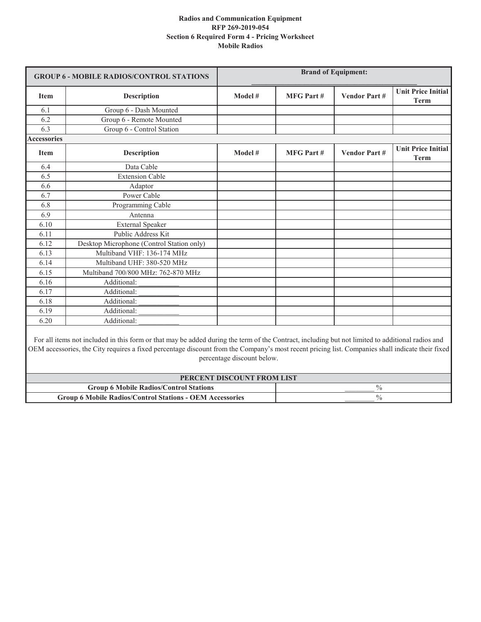| <b>GROUP 6 - MOBILE RADIOS/CONTROL STATIONS</b> |                                                                                                                                                                                                                                                                                                      | <b>Brand of Equipment:</b>                               |                  |                     |                                          |
|-------------------------------------------------|------------------------------------------------------------------------------------------------------------------------------------------------------------------------------------------------------------------------------------------------------------------------------------------------------|----------------------------------------------------------|------------------|---------------------|------------------------------------------|
| Item                                            | <b>Description</b>                                                                                                                                                                                                                                                                                   | Model #                                                  | <b>MFG Part#</b> | <b>Vendor Part#</b> | <b>Unit Price Initial</b><br><b>Term</b> |
| 6.1                                             | Group 6 - Dash Mounted                                                                                                                                                                                                                                                                               |                                                          |                  |                     |                                          |
| 6.2                                             | Group 6 - Remote Mounted                                                                                                                                                                                                                                                                             |                                                          |                  |                     |                                          |
| 6.3                                             | Group 6 - Control Station                                                                                                                                                                                                                                                                            |                                                          |                  |                     |                                          |
| <b>Accessories</b>                              |                                                                                                                                                                                                                                                                                                      |                                                          |                  |                     |                                          |
| <b>Item</b>                                     | <b>Description</b>                                                                                                                                                                                                                                                                                   | Model #                                                  | <b>MFG Part#</b> | <b>Vendor Part#</b> | <b>Unit Price Initial</b><br><b>Term</b> |
| 6.4                                             | Data Cable                                                                                                                                                                                                                                                                                           |                                                          |                  |                     |                                          |
| 6.5                                             | <b>Extension Cable</b>                                                                                                                                                                                                                                                                               |                                                          |                  |                     |                                          |
| 6.6                                             | Adaptor                                                                                                                                                                                                                                                                                              |                                                          |                  |                     |                                          |
| 6.7                                             | Power Cable                                                                                                                                                                                                                                                                                          |                                                          |                  |                     |                                          |
| 6.8                                             | Programming Cable                                                                                                                                                                                                                                                                                    |                                                          |                  |                     |                                          |
| 6.9                                             | Antenna                                                                                                                                                                                                                                                                                              |                                                          |                  |                     |                                          |
| 6.10                                            | <b>External Speaker</b>                                                                                                                                                                                                                                                                              |                                                          |                  |                     |                                          |
| 6.11                                            | Public Address Kit                                                                                                                                                                                                                                                                                   |                                                          |                  |                     |                                          |
| 6.12                                            | Desktop Microphone (Control Station only)                                                                                                                                                                                                                                                            |                                                          |                  |                     |                                          |
| 6.13                                            | Multiband VHF: 136-174 MHz                                                                                                                                                                                                                                                                           |                                                          |                  |                     |                                          |
| 6.14                                            | Multiband UHF: 380-520 MHz                                                                                                                                                                                                                                                                           |                                                          |                  |                     |                                          |
| 6.15                                            | Multiband 700/800 MHz: 762-870 MHz                                                                                                                                                                                                                                                                   |                                                          |                  |                     |                                          |
| 6.16                                            | Additional:                                                                                                                                                                                                                                                                                          |                                                          |                  |                     |                                          |
| 6.17                                            | Additional:                                                                                                                                                                                                                                                                                          |                                                          |                  |                     |                                          |
| 6.18                                            | Additional:                                                                                                                                                                                                                                                                                          |                                                          |                  |                     |                                          |
| 6.19                                            | Additional:                                                                                                                                                                                                                                                                                          |                                                          |                  |                     |                                          |
| 6.20                                            | Additional:                                                                                                                                                                                                                                                                                          |                                                          |                  |                     |                                          |
|                                                 | For all items not included in this form or that may be added during the term of the Contract, including but not limited to additional radios and<br>OEM accessories, the City requires a fixed percentage discount from the Company's most recent pricing list. Companies shall indicate their fixed | percentage discount below.<br>PERCENT DISCOUNT FROM LIST |                  |                     |                                          |

**Group 6 Mobile Radios/Control Stations** \_\_\_\_\_\_\_\_ %

**Group 6 Mobile Radios/Control Stations - OEM Accessories** \_\_\_\_\_\_\_\_ %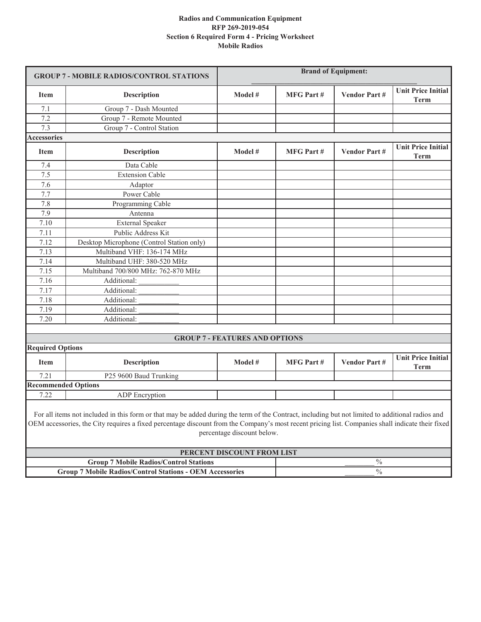| <b>GROUP 7 - MOBILE RADIOS/CONTROL STATIONS</b> |                                                                                                                                                                                                                                                                                                      |                                       | <b>Brand of Equipment:</b> |                     |                                          |
|-------------------------------------------------|------------------------------------------------------------------------------------------------------------------------------------------------------------------------------------------------------------------------------------------------------------------------------------------------------|---------------------------------------|----------------------------|---------------------|------------------------------------------|
| <b>Item</b>                                     | <b>Description</b>                                                                                                                                                                                                                                                                                   | Model #                               | <b>MFG Part#</b>           | <b>Vendor Part#</b> | Unit Price Initial<br><b>Term</b>        |
| 7.1                                             | Group 7 - Dash Mounted                                                                                                                                                                                                                                                                               |                                       |                            |                     |                                          |
| 7.2                                             | Group 7 - Remote Mounted                                                                                                                                                                                                                                                                             |                                       |                            |                     |                                          |
| 7.3                                             | Group 7 - Control Station                                                                                                                                                                                                                                                                            |                                       |                            |                     |                                          |
| <b>Accessories</b>                              |                                                                                                                                                                                                                                                                                                      |                                       |                            |                     |                                          |
| <b>Item</b>                                     | <b>Description</b>                                                                                                                                                                                                                                                                                   | Model #                               | <b>MFG Part#</b>           | <b>Vendor Part#</b> | <b>Unit Price Initial</b><br><b>Term</b> |
| 7.4                                             | Data Cable                                                                                                                                                                                                                                                                                           |                                       |                            |                     |                                          |
| 7.5                                             | <b>Extension Cable</b>                                                                                                                                                                                                                                                                               |                                       |                            |                     |                                          |
| 7.6                                             | Adaptor                                                                                                                                                                                                                                                                                              |                                       |                            |                     |                                          |
| 7.7                                             | Power Cable                                                                                                                                                                                                                                                                                          |                                       |                            |                     |                                          |
| 7.8                                             | Programming Cable                                                                                                                                                                                                                                                                                    |                                       |                            |                     |                                          |
| 7.9                                             | Antenna                                                                                                                                                                                                                                                                                              |                                       |                            |                     |                                          |
| 7.10                                            | <b>External Speaker</b>                                                                                                                                                                                                                                                                              |                                       |                            |                     |                                          |
| 7.11                                            | Public Address Kit                                                                                                                                                                                                                                                                                   |                                       |                            |                     |                                          |
| 7.12                                            | Desktop Microphone (Control Station only)                                                                                                                                                                                                                                                            |                                       |                            |                     |                                          |
| 7.13                                            | Multiband VHF: 136-174 MHz                                                                                                                                                                                                                                                                           |                                       |                            |                     |                                          |
| 7.14                                            | Multiband UHF: 380-520 MHz                                                                                                                                                                                                                                                                           |                                       |                            |                     |                                          |
| 7.15                                            | Multiband 700/800 MHz: 762-870 MHz                                                                                                                                                                                                                                                                   |                                       |                            |                     |                                          |
| 7.16                                            | Additional:                                                                                                                                                                                                                                                                                          |                                       |                            |                     |                                          |
| 7.17                                            | Additional:                                                                                                                                                                                                                                                                                          |                                       |                            |                     |                                          |
| 7.18                                            | Additional:                                                                                                                                                                                                                                                                                          |                                       |                            |                     |                                          |
| 7.19                                            | Additional:                                                                                                                                                                                                                                                                                          |                                       |                            |                     |                                          |
| 7.20                                            | Additional:                                                                                                                                                                                                                                                                                          |                                       |                            |                     |                                          |
|                                                 |                                                                                                                                                                                                                                                                                                      |                                       |                            |                     |                                          |
|                                                 |                                                                                                                                                                                                                                                                                                      | <b>GROUP 7 - FEATURES AND OPTIONS</b> |                            |                     |                                          |
| <b>Required Options</b>                         |                                                                                                                                                                                                                                                                                                      |                                       |                            |                     |                                          |
| <b>Item</b>                                     | <b>Description</b>                                                                                                                                                                                                                                                                                   | Model #                               | <b>MFG Part#</b>           | <b>Vendor Part#</b> | <b>Unit Price Initial</b><br><b>Term</b> |
| 7.21                                            | P25 9600 Baud Trunking                                                                                                                                                                                                                                                                               |                                       |                            |                     |                                          |
| <b>Recommended Options</b>                      |                                                                                                                                                                                                                                                                                                      |                                       |                            |                     |                                          |
| 7.22                                            | <b>ADP</b> Encryption                                                                                                                                                                                                                                                                                |                                       |                            |                     |                                          |
|                                                 | For all items not included in this form or that may be added during the term of the Contract, including but not limited to additional radios and<br>OEM accessories, the City requires a fixed percentage discount from the Company's most recent pricing list. Companies shall indicate their fixed | percentage discount below.            |                            |                     |                                          |
|                                                 |                                                                                                                                                                                                                                                                                                      | PERCENT DISCOUNT FROM LIST            |                            |                     |                                          |
|                                                 | <b>Group 7 Mobile Radios/Control Stations</b>                                                                                                                                                                                                                                                        |                                       | $\%$                       |                     |                                          |
|                                                 | <b>Group 7 Mobile Radios/Control Stations - OEM Accessories</b>                                                                                                                                                                                                                                      |                                       |                            | $\%$                |                                          |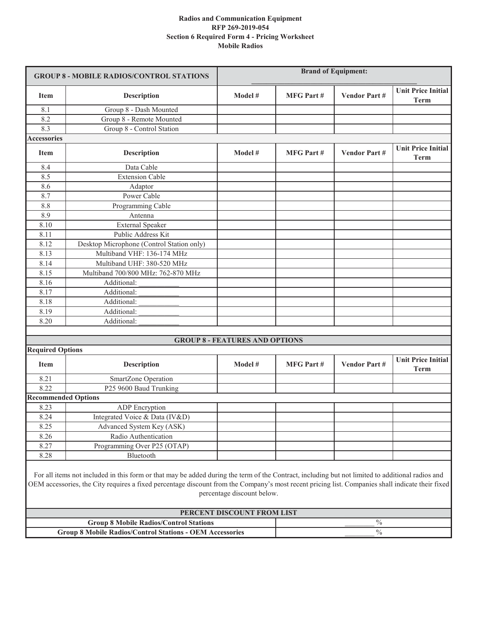| <b>GROUP 8 - MOBILE RADIOS/CONTROL STATIONS</b> |                                                                                                                                                                                                                                                                                                      | <b>Brand of Equipment:</b>                               |                  |                     |                                          |
|-------------------------------------------------|------------------------------------------------------------------------------------------------------------------------------------------------------------------------------------------------------------------------------------------------------------------------------------------------------|----------------------------------------------------------|------------------|---------------------|------------------------------------------|
| <b>Item</b>                                     | <b>Description</b>                                                                                                                                                                                                                                                                                   | Model #                                                  | <b>MFG Part#</b> | <b>Vendor Part#</b> | <b>Unit Price Initial</b><br><b>Term</b> |
| 8.1                                             | Group 8 - Dash Mounted                                                                                                                                                                                                                                                                               |                                                          |                  |                     |                                          |
| 8.2                                             | Group 8 - Remote Mounted                                                                                                                                                                                                                                                                             |                                                          |                  |                     |                                          |
| 8.3                                             | Group 8 - Control Station                                                                                                                                                                                                                                                                            |                                                          |                  |                     |                                          |
| <b>Accessories</b>                              |                                                                                                                                                                                                                                                                                                      |                                                          |                  |                     |                                          |
| <b>Item</b>                                     | <b>Description</b>                                                                                                                                                                                                                                                                                   | Model #                                                  | <b>MFG Part#</b> | <b>Vendor Part#</b> | <b>Unit Price Initial</b><br><b>Term</b> |
| 8.4                                             | Data Cable                                                                                                                                                                                                                                                                                           |                                                          |                  |                     |                                          |
| 8.5                                             | <b>Extension Cable</b>                                                                                                                                                                                                                                                                               |                                                          |                  |                     |                                          |
| 8.6                                             | Adaptor                                                                                                                                                                                                                                                                                              |                                                          |                  |                     |                                          |
| 8.7                                             | Power Cable                                                                                                                                                                                                                                                                                          |                                                          |                  |                     |                                          |
| 8.8                                             | Programming Cable                                                                                                                                                                                                                                                                                    |                                                          |                  |                     |                                          |
| 8.9                                             | Antenna                                                                                                                                                                                                                                                                                              |                                                          |                  |                     |                                          |
| 8.10                                            | <b>External Speaker</b>                                                                                                                                                                                                                                                                              |                                                          |                  |                     |                                          |
| 8.11                                            | Public Address Kit                                                                                                                                                                                                                                                                                   |                                                          |                  |                     |                                          |
| 8.12                                            | Desktop Microphone (Control Station only)                                                                                                                                                                                                                                                            |                                                          |                  |                     |                                          |
| 8.13                                            | Multiband VHF: 136-174 MHz                                                                                                                                                                                                                                                                           |                                                          |                  |                     |                                          |
| 8.14                                            | Multiband UHF: 380-520 MHz                                                                                                                                                                                                                                                                           |                                                          |                  |                     |                                          |
| 8.15                                            | Multiband 700/800 MHz: 762-870 MHz                                                                                                                                                                                                                                                                   |                                                          |                  |                     |                                          |
| 8.16                                            | Additional:                                                                                                                                                                                                                                                                                          |                                                          |                  |                     |                                          |
| 8.17                                            | Additional:                                                                                                                                                                                                                                                                                          |                                                          |                  |                     |                                          |
| 8.18                                            | Additional:                                                                                                                                                                                                                                                                                          |                                                          |                  |                     |                                          |
| 8.19                                            | Additional:                                                                                                                                                                                                                                                                                          |                                                          |                  |                     |                                          |
| 8.20                                            | Additional:                                                                                                                                                                                                                                                                                          |                                                          |                  |                     |                                          |
|                                                 |                                                                                                                                                                                                                                                                                                      |                                                          |                  |                     |                                          |
|                                                 |                                                                                                                                                                                                                                                                                                      | <b>GROUP 8 - FEATURES AND OPTIONS</b>                    |                  |                     |                                          |
| <b>Required Options</b>                         |                                                                                                                                                                                                                                                                                                      |                                                          |                  |                     |                                          |
| <b>Item</b>                                     | <b>Description</b>                                                                                                                                                                                                                                                                                   | Model #                                                  | <b>MFG Part#</b> | <b>Vendor Part#</b> | <b>Unit Price Initial</b><br><b>Term</b> |
| 8.21                                            | SmartZone Operation                                                                                                                                                                                                                                                                                  |                                                          |                  |                     |                                          |
| 8.22                                            | P <sub>25</sub> 9600 Baud Trunking                                                                                                                                                                                                                                                                   |                                                          |                  |                     |                                          |
| <b>Recommended Options</b>                      |                                                                                                                                                                                                                                                                                                      |                                                          |                  |                     |                                          |
| 8.23                                            | ADP Encryption                                                                                                                                                                                                                                                                                       |                                                          |                  |                     |                                          |
| 8.24                                            | Integrated Voice & Data (IV&D)                                                                                                                                                                                                                                                                       |                                                          |                  |                     |                                          |
| 8.25                                            | Advanced System Key (ASK)                                                                                                                                                                                                                                                                            |                                                          |                  |                     |                                          |
| 8.26                                            | Radio Authentication                                                                                                                                                                                                                                                                                 |                                                          |                  |                     |                                          |
| 8.27                                            | Programming Over P25 (OTAP)                                                                                                                                                                                                                                                                          |                                                          |                  |                     |                                          |
| 8.28                                            | Bluetooth                                                                                                                                                                                                                                                                                            |                                                          |                  |                     |                                          |
|                                                 | For all items not included in this form or that may be added during the term of the Contract, including but not limited to additional radios and<br>OEM accessories, the City requires a fixed percentage discount from the Company's most recent pricing list. Companies shall indicate their fixed | percentage discount below.<br>PERCENT DISCOUNT FROM LIST |                  |                     |                                          |
|                                                 | <b>Group 8 Mobile Radios/Control Stations</b>                                                                                                                                                                                                                                                        |                                                          |                  | $\%$                |                                          |
|                                                 | <b>Group 8 Mobile Radios/Control Stations - OEM Accessories</b>                                                                                                                                                                                                                                      |                                                          |                  | $\%$                |                                          |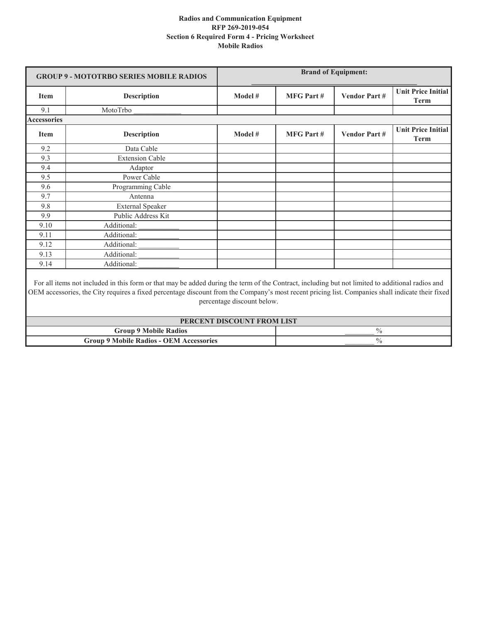| <b>GROUP 9 - MOTOTRBO SERIES MOBILE RADIOS</b> |                                                                                                                                                  | <b>Brand of Equipment:</b> |                  |                     |                                          |
|------------------------------------------------|--------------------------------------------------------------------------------------------------------------------------------------------------|----------------------------|------------------|---------------------|------------------------------------------|
| <b>Item</b>                                    | <b>Description</b>                                                                                                                               | Model #                    | <b>MFG Part#</b> | <b>Vendor Part#</b> | <b>Unit Price Initial</b><br>Term        |
| 9.1                                            | MotoTrbo                                                                                                                                         |                            |                  |                     |                                          |
| <b>Accessories</b>                             |                                                                                                                                                  |                            |                  |                     |                                          |
| <b>Item</b>                                    | <b>Description</b>                                                                                                                               | Model #                    | <b>MFG Part#</b> | <b>Vendor Part#</b> | <b>Unit Price Initial</b><br><b>Term</b> |
| 9.2                                            | Data Cable                                                                                                                                       |                            |                  |                     |                                          |
| 9.3                                            | <b>Extension Cable</b>                                                                                                                           |                            |                  |                     |                                          |
| 9.4                                            | Adaptor                                                                                                                                          |                            |                  |                     |                                          |
| 9.5                                            | Power Cable                                                                                                                                      |                            |                  |                     |                                          |
| 9.6                                            | Programming Cable                                                                                                                                |                            |                  |                     |                                          |
| 9.7                                            | Antenna                                                                                                                                          |                            |                  |                     |                                          |
| 9.8                                            | <b>External Speaker</b>                                                                                                                          |                            |                  |                     |                                          |
| 9.9                                            | Public Address Kit                                                                                                                               |                            |                  |                     |                                          |
| 9.10                                           | Additional:                                                                                                                                      |                            |                  |                     |                                          |
| 9.11                                           | Additional:                                                                                                                                      |                            |                  |                     |                                          |
| 9.12                                           | Additional:                                                                                                                                      |                            |                  |                     |                                          |
| 9.13                                           | Additional:                                                                                                                                      |                            |                  |                     |                                          |
| 9.14                                           | Additional:                                                                                                                                      |                            |                  |                     |                                          |
|                                                | For all items not included in this form or that may be added during the term of the Contract, including but not limited to additional radios and |                            |                  |                     |                                          |

For all items not included in this form or that may be added during the term of the Contract, including but not limited to additional radios and OEM accessories, the City requires a fixed percentage discount from the Company's most recent pricing list. Companies shall indicate their fixed percentage discount below.

| PERCENT DISCOUNT FROM LIST                     |  |  |  |
|------------------------------------------------|--|--|--|
| <b>Group 9 Mobile Radios</b>                   |  |  |  |
| <b>Group 9 Mobile Radios - OEM Accessories</b> |  |  |  |